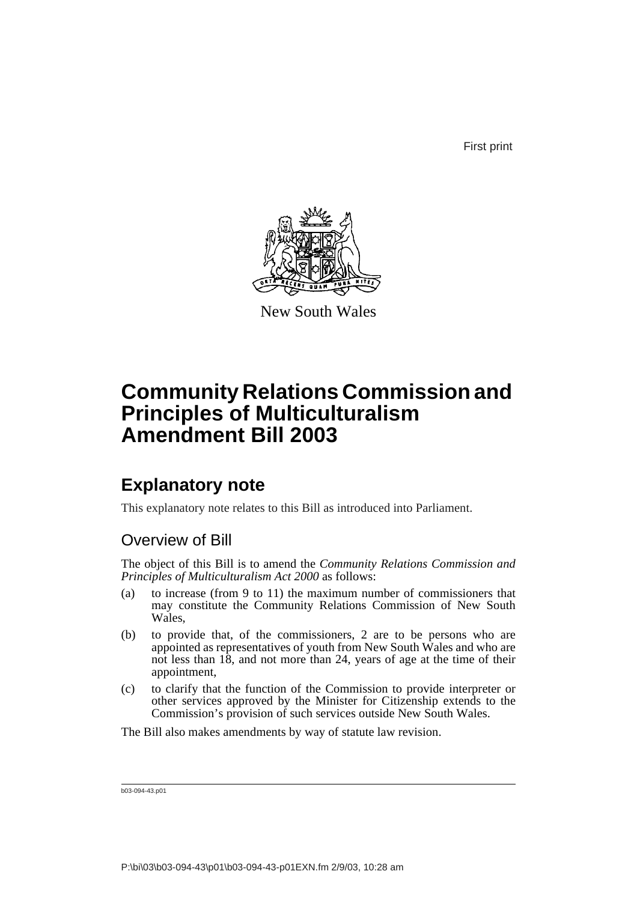First print



New South Wales

# **Community Relations Commission and Principles of Multiculturalism Amendment Bill 2003**

## **Explanatory note**

This explanatory note relates to this Bill as introduced into Parliament.

### Overview of Bill

The object of this Bill is to amend the *Community Relations Commission and Principles of Multiculturalism Act 2000* as follows:

- (a) to increase (from 9 to 11) the maximum number of commissioners that may constitute the Community Relations Commission of New South Wales,
- (b) to provide that, of the commissioners, 2 are to be persons who are appointed as representatives of youth from New South Wales and who are not less than 18, and not more than 24, years of age at the time of their appointment,
- (c) to clarify that the function of the Commission to provide interpreter or other services approved by the Minister for Citizenship extends to the Commission's provision of such services outside New South Wales.

The Bill also makes amendments by way of statute law revision.

b03-094-43.p01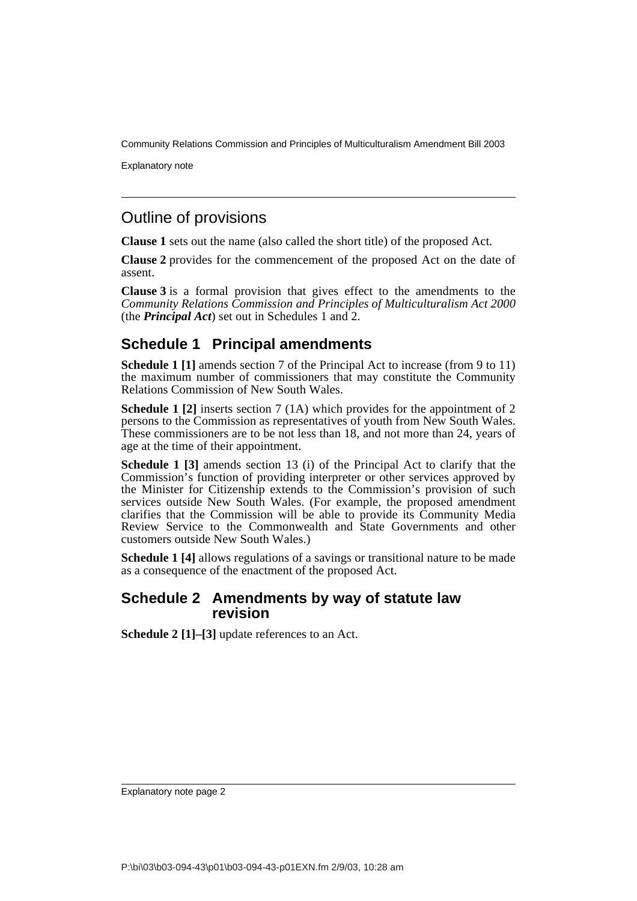Community Relations Commission and Principles of Multiculturalism Amendment Bill 2003

Explanatory note

### Outline of provisions

**Clause 1** sets out the name (also called the short title) of the proposed Act.

**Clause 2** provides for the commencement of the proposed Act on the date of assent.

**Clause 3** is a formal provision that gives effect to the amendments to the *Community Relations Commission and Principles of Multiculturalism Act 2000* (the *Principal Act*) set out in Schedules 1 and 2.

### **Schedule 1 Principal amendments**

**Schedule 1 [1]** amends section 7 of the Principal Act to increase (from 9 to 11) the maximum number of commissioners that may constitute the Community Relations Commission of New South Wales.

**Schedule 1 [2]** inserts section 7 (1A) which provides for the appointment of 2 persons to the Commission as representatives of youth from New South Wales. These commissioners are to be not less than 18, and not more than 24, years of age at the time of their appointment.

**Schedule 1 [3]** amends section 13 (i) of the Principal Act to clarify that the Commission's function of providing interpreter or other services approved by the Minister for Citizenship extends to the Commission's provision of such services outside New South Wales. (For example, the proposed amendment clarifies that the Commission will be able to provide its Community Media Review Service to the Commonwealth and State Governments and other customers outside New South Wales.)

**Schedule 1 [4]** allows regulations of a savings or transitional nature to be made as a consequence of the enactment of the proposed Act.

### **Schedule 2 Amendments by way of statute law revision**

**Schedule 2 [1]–[3]** update references to an Act.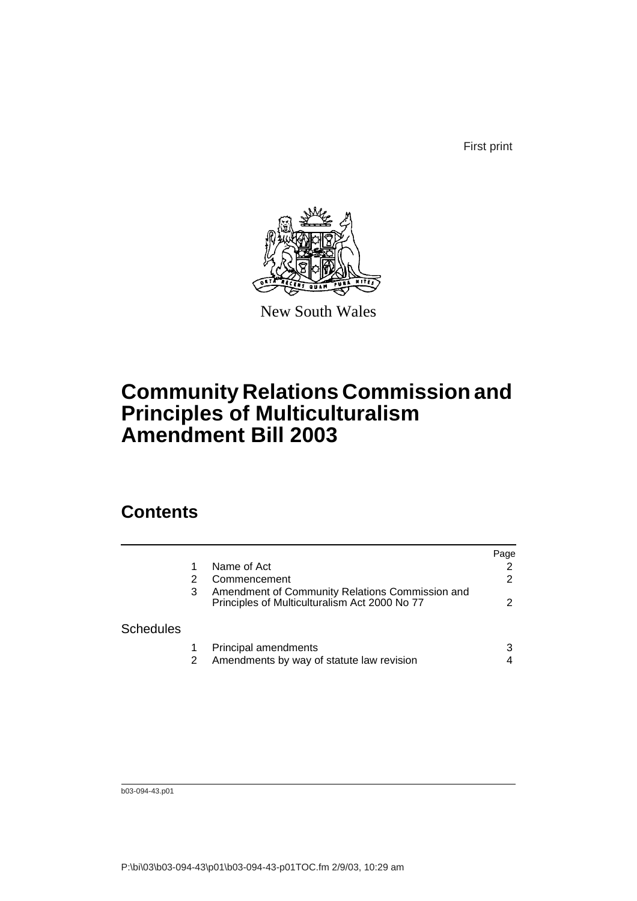First print



New South Wales

# **Community Relations Commission and Principles of Multiculturalism Amendment Bill 2003**

## **Contents**

|                  |   |                                                                                                  | Page |
|------------------|---|--------------------------------------------------------------------------------------------------|------|
|                  |   | Name of Act                                                                                      | 2    |
|                  |   | Commencement                                                                                     | 2    |
|                  | 3 | Amendment of Community Relations Commission and<br>Principles of Multiculturalism Act 2000 No 77 | 2    |
| <b>Schedules</b> |   |                                                                                                  |      |
|                  |   | Principal amendments                                                                             | 3    |
|                  |   | Amendments by way of statute law revision                                                        | 4    |

b03-094-43.p01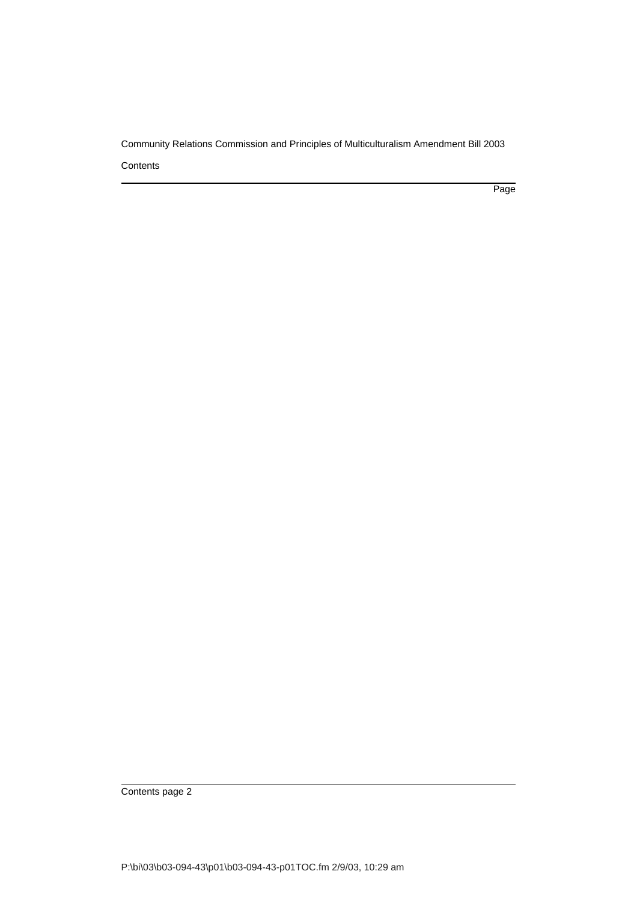Community Relations Commission and Principles of Multiculturalism Amendment Bill 2003 **Contents** 

Page

Contents page 2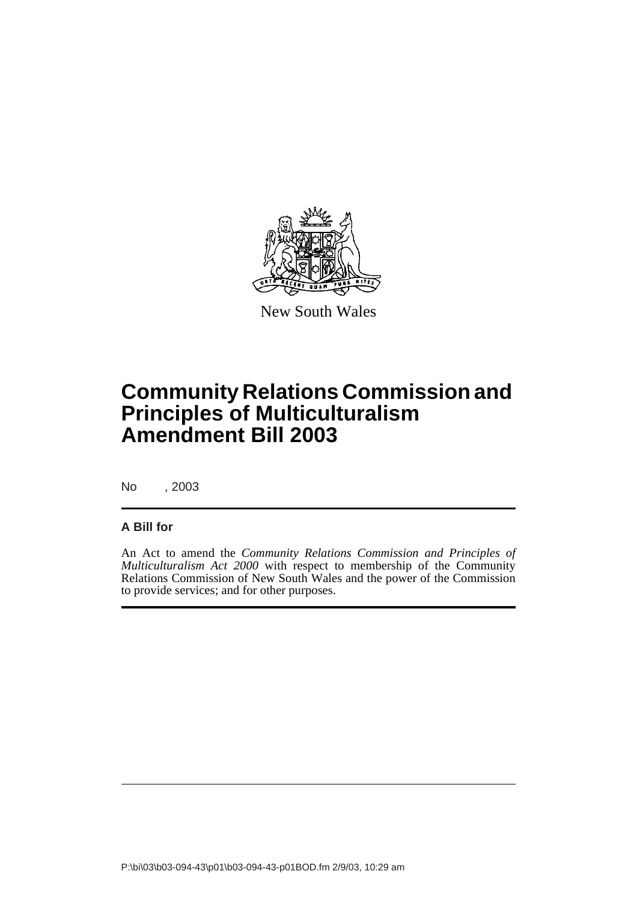

New South Wales

# **Community Relations Commission and Principles of Multiculturalism Amendment Bill 2003**

No , 2003

#### **A Bill for**

An Act to amend the *Community Relations Commission and Principles of Multiculturalism Act 2000* with respect to membership of the Community Relations Commission of New South Wales and the power of the Commission to provide services; and for other purposes.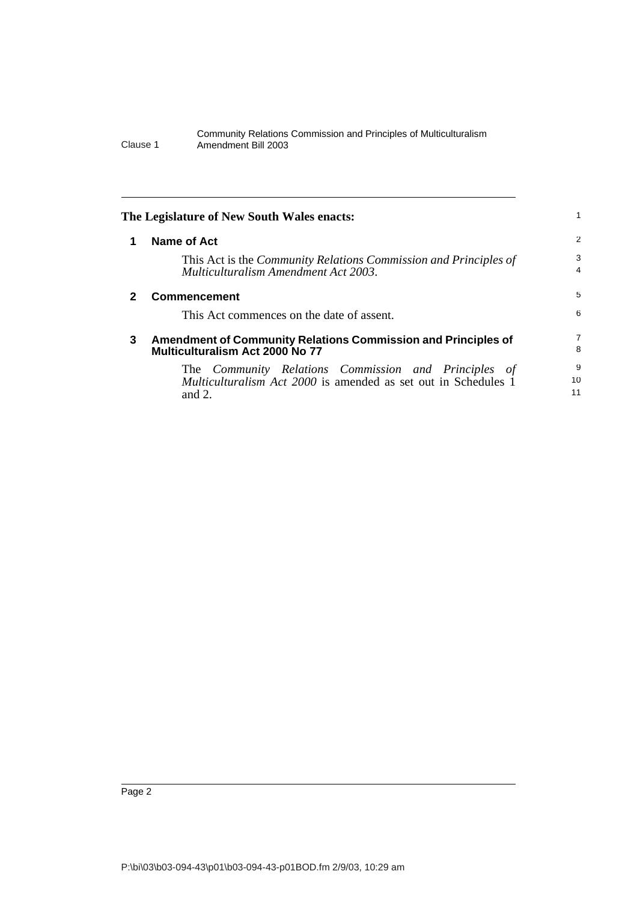#### Community Relations Commission and Principles of Multiculturalism Clause 1 Amendment Bill 2003

<span id="page-5-2"></span><span id="page-5-1"></span><span id="page-5-0"></span>

|   | The Legislature of New South Wales enacts:                                                                                                 |               |
|---|--------------------------------------------------------------------------------------------------------------------------------------------|---------------|
|   | Name of Act                                                                                                                                | 2             |
|   | This Act is the <i>Community Relations Commission and Principles of</i><br>Multiculturalism Amendment Act 2003.                            | 3<br>4        |
|   | <b>Commencement</b>                                                                                                                        | 5             |
|   | This Act commences on the date of assent.                                                                                                  | 6             |
| 3 | Amendment of Community Relations Commission and Principles of<br>Multiculturalism Act 2000 No 77                                           | 7<br>8        |
|   | The Community Relations Commission and Principles of<br><i>Multiculturalism Act 2000</i> is amended as set out in Schedules 1<br>and $2$ . | 9<br>10<br>11 |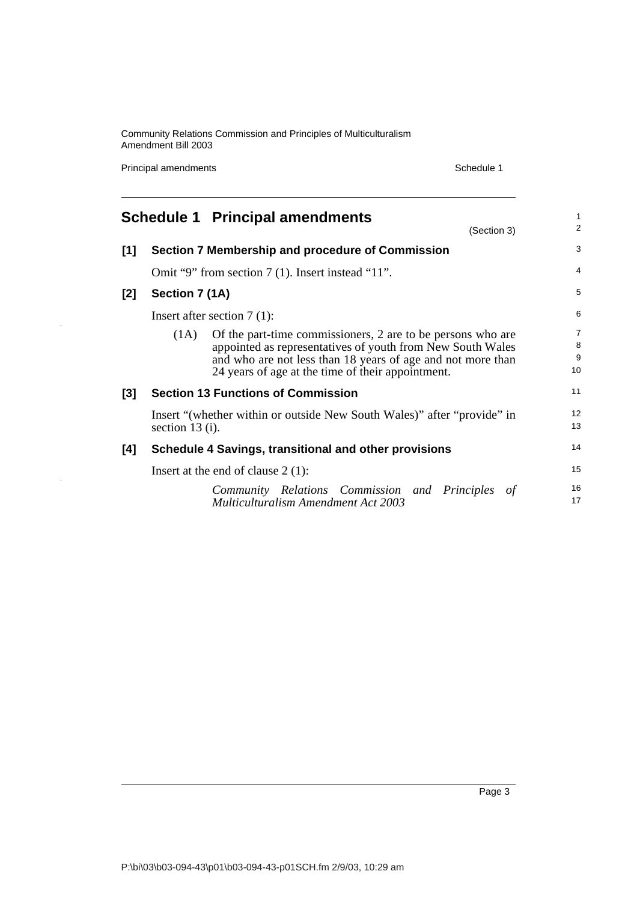Community Relations Commission and Principles of Multiculturalism Amendment Bill 2003

Principal amendments **Schedule 1** and the set of the Schedule 1

J.

<span id="page-6-0"></span>

|       |                               | <b>Schedule 1 Principal amendments</b><br>(Section 3)                                                                                                                                                                                         | $\mathbf{1}$<br>$\overline{2}$ |
|-------|-------------------------------|-----------------------------------------------------------------------------------------------------------------------------------------------------------------------------------------------------------------------------------------------|--------------------------------|
| $[1]$ |                               | Section 7 Membership and procedure of Commission                                                                                                                                                                                              | 3                              |
|       |                               | Omit "9" from section 7 (1). Insert instead "11".                                                                                                                                                                                             | 4                              |
| [2]   | Section 7 (1A)                |                                                                                                                                                                                                                                               | 5                              |
|       | Insert after section $7(1)$ : |                                                                                                                                                                                                                                               | 6                              |
|       | (1A)                          | Of the part-time commissioners, 2 are to be persons who are<br>appointed as representatives of youth from New South Wales<br>and who are not less than 18 years of age and not more than<br>24 years of age at the time of their appointment. | $\overline{7}$<br>8<br>9<br>10 |
| [3]   |                               | <b>Section 13 Functions of Commission</b>                                                                                                                                                                                                     | 11                             |
|       | section $13$ (i).             | Insert "(whether within or outside New South Wales)" after "provide" in                                                                                                                                                                       | 12<br>13                       |
| [4]   |                               | Schedule 4 Savings, transitional and other provisions                                                                                                                                                                                         | 14                             |
|       |                               | Insert at the end of clause $2(1)$ :                                                                                                                                                                                                          | 15                             |
|       |                               | Community Relations Commission and Principles<br>of<br><b>Multiculturalism Amendment Act 2003</b>                                                                                                                                             | 16<br>17                       |